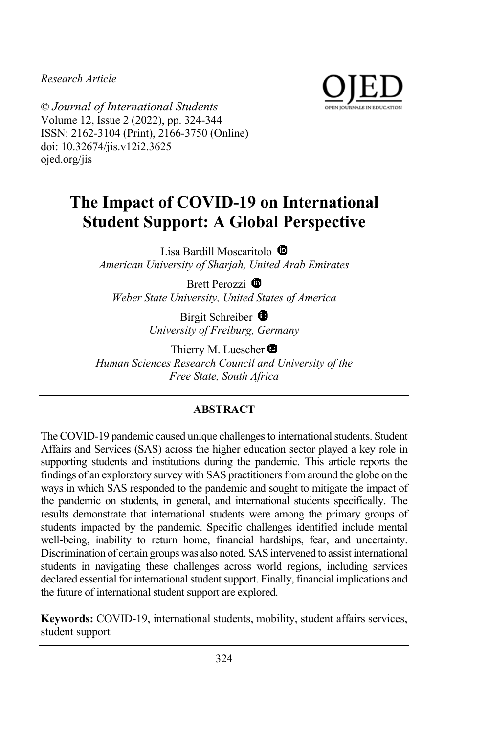*Research Article*



© *Journal of International Students* Volume 12, Issue 2 (2022), pp. 324-344 ISSN: 2162-3104 (Print), 2166-3750 (Online) doi: 10.32674/jis.v12i2.3625 ojed.org/jis

# **The Impact of COVID-19 on International Student Support: A Global Perspective**

Lisa Bardill Moscaritolo <sup>1</sup> *American University of Sharjah, United Arab Emirates*

Brett Perozzi <sup>®</sup> *Weber State University, United States of America*

> Birgit Schreiber <sup>®</sup> *University of Freiburg, Germany*

Thierry M. Luescher  $\bullet$ *Human Sciences Research Council and University of the Free State, South Africa*

# **ABSTRACT**

The COVID-19 pandemic caused unique challenges to international students. Student Affairs and Services (SAS) across the higher education sector played a key role in supporting students and institutions during the pandemic. This article reports the findings of an exploratory survey with SAS practitioners from around the globe on the ways in which SAS responded to the pandemic and sought to mitigate the impact of the pandemic on students, in general, and international students specifically. The results demonstrate that international students were among the primary groups of students impacted by the pandemic. Specific challenges identified include mental well-being, inability to return home, financial hardships, fear, and uncertainty. Discrimination of certain groups was also noted. SAS intervened to assist international students in navigating these challenges across world regions, including services declared essential for international student support. Finally, financial implications and the future of international student support are explored.

**Keywords:** COVID-19, international students, mobility, student affairs services, student support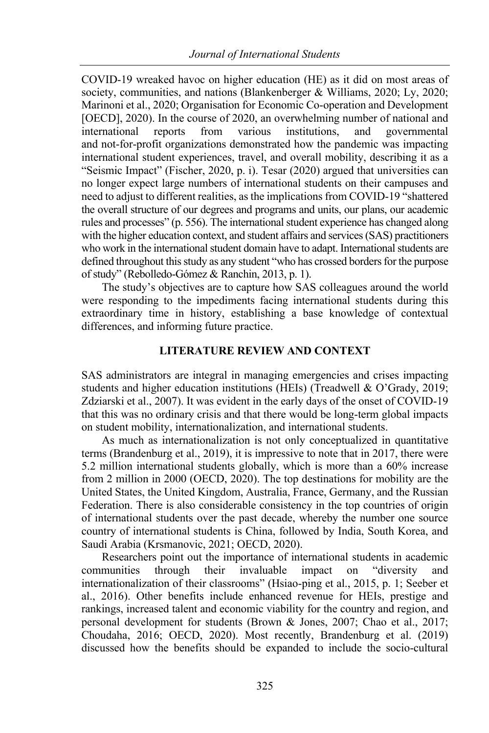COVID-19 wreaked havoc on higher education (HE) as it did on most areas of society, communities, and nations (Blankenberger & Williams, 2020; Ly, 2020; Marinoni et al., 2020; Organisation for Economic Co-operation and Development [OECD], 2020). In the course of 2020, an overwhelming number of national and international reports from various institutions, and governmental and not-for-profit organizations demonstrated how the pandemic was impacting international student experiences, travel, and overall mobility, describing it as a "Seismic Impact" (Fischer, 2020, p. i). Tesar (2020) argued that universities can no longer expect large numbers of international students on their campuses and need to adjust to different realities, as the implications from COVID-19 "shattered the overall structure of our degrees and programs and units, our plans, our academic rules and processes" (p. 556). The international student experience has changed along with the higher education context, and student affairs and services (SAS) practitioners who work in the international student domain have to adapt. International students are defined throughout this study as any student "who has crossed borders for the purpose of study" (Rebolledo-Gómez & Ranchin, 2013, p. 1).

The study's objectives are to capture how SAS colleagues around the world were responding to the impediments facing international students during this extraordinary time in history, establishing a base knowledge of contextual differences, and informing future practice.

## **LITERATURE REVIEW AND CONTEXT**

SAS administrators are integral in managing emergencies and crises impacting students and higher education institutions (HEIs) (Treadwell & O'Grady, 2019; Zdziarski et al., 2007). It was evident in the early days of the onset of COVID-19 that this was no ordinary crisis and that there would be long-term global impacts on student mobility, internationalization, and international students.

As much as internationalization is not only conceptualized in quantitative terms (Brandenburg et al., 2019), it is impressive to note that in 2017, there were 5.2 million international students globally, which is more than a 60% increase from 2 million in 2000 (OECD, 2020). The top destinations for mobility are the United States, the United Kingdom, Australia, France, Germany, and the Russian Federation. There is also considerable consistency in the top countries of origin of international students over the past decade, whereby the number one source country of international students is China, followed by India, South Korea, and Saudi Arabia (Krsmanovic, 2021; OECD, 2020).

Researchers point out the importance of international students in academic communities through their invaluable impact on "diversity and internationalization of their classrooms" (Hsiao-ping et al., 2015, p. 1; Seeber et al., 2016). Other benefits include enhanced revenue for HEIs, prestige and rankings, increased talent and economic viability for the country and region, and personal development for students (Brown & Jones, 2007; Chao et al., 2017; Choudaha, 2016; OECD, 2020). Most recently, Brandenburg et al. (2019) discussed how the benefits should be expanded to include the socio-cultural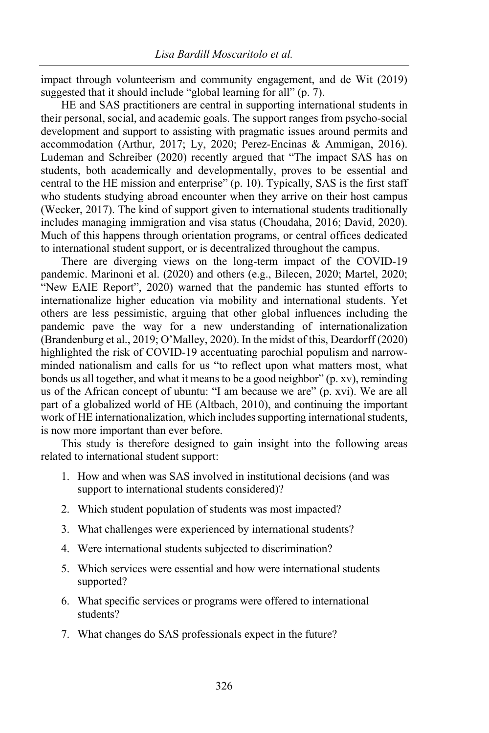impact through volunteerism and community engagement, and de Wit (2019) suggested that it should include "global learning for all" (p. 7).

HE and SAS practitioners are central in supporting international students in their personal, social, and academic goals. The support ranges from psycho-social development and support to assisting with pragmatic issues around permits and accommodation (Arthur, 2017; Ly, 2020; Perez-Encinas & Ammigan, 2016). Ludeman and Schreiber (2020) recently argued that "The impact SAS has on students, both academically and developmentally, proves to be essential and central to the HE mission and enterprise" (p. 10). Typically, SAS is the first staff who students studying abroad encounter when they arrive on their host campus (Wecker, 2017). The kind of support given to international students traditionally includes managing immigration and visa status (Choudaha, 2016; David, 2020). Much of this happens through orientation programs, or central offices dedicated to international student support, or is decentralized throughout the campus.

There are diverging views on the long-term impact of the COVID-19 pandemic. Marinoni et al. (2020) and others (e.g., Bilecen, 2020; Martel, 2020; "New EAIE Report", 2020) warned that the pandemic has stunted efforts to internationalize higher education via mobility and international students. Yet others are less pessimistic, arguing that other global influences including the pandemic pave the way for a new understanding of internationalization (Brandenburg et al., 2019; O'Malley, 2020). In the midst of this, Deardorff (2020) highlighted the risk of COVID-19 accentuating parochial populism and narrowminded nationalism and calls for us "to reflect upon what matters most, what bonds us all together, and what it means to be a good neighbor" (p. xv), reminding us of the African concept of ubuntu: "I am because we are" (p. xvi). We are all part of a globalized world of HE (Altbach, 2010), and continuing the important work of HE internationalization, which includes supporting international students, is now more important than ever before.

This study is therefore designed to gain insight into the following areas related to international student support:

- 1. How and when was SAS involved in institutional decisions (and was support to international students considered)?
- 2. Which student population of students was most impacted?
- 3. What challenges were experienced by international students?
- 4. Were international students subjected to discrimination?
- 5. Which services were essential and how were international students supported?
- 6. What specific services or programs were offered to international students?
- 7. What changes do SAS professionals expect in the future?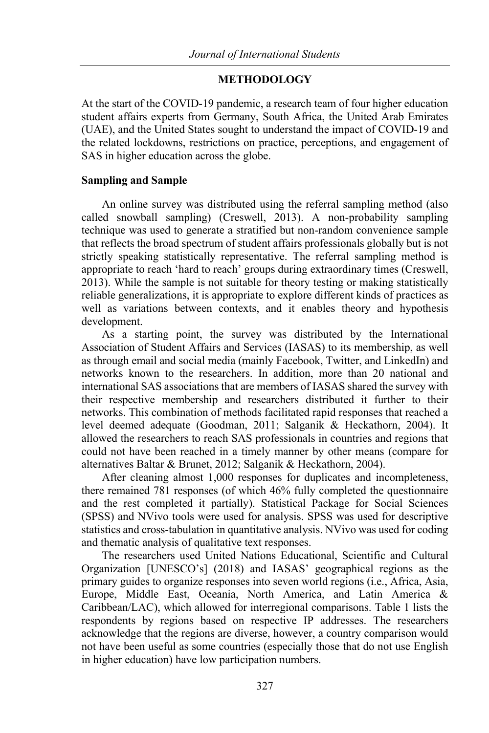## **METHODOLOGY**

At the start of the COVID-19 pandemic, a research team of four higher education student affairs experts from Germany, South Africa, the United Arab Emirates (UAE), and the United States sought to understand the impact of COVID-19 and the related lockdowns, restrictions on practice, perceptions, and engagement of SAS in higher education across the globe.

## **Sampling and Sample**

An online survey was distributed using the referral sampling method (also called snowball sampling) (Creswell, 2013). A non-probability sampling technique was used to generate a stratified but non-random convenience sample that reflects the broad spectrum of student affairs professionals globally but is not strictly speaking statistically representative. The referral sampling method is appropriate to reach 'hard to reach' groups during extraordinary times (Creswell, 2013). While the sample is not suitable for theory testing or making statistically reliable generalizations, it is appropriate to explore different kinds of practices as well as variations between contexts, and it enables theory and hypothesis development.

As a starting point, the survey was distributed by the International Association of Student Affairs and Services (IASAS) to its membership, as well as through email and social media (mainly Facebook, Twitter, and LinkedIn) and networks known to the researchers. In addition, more than 20 national and international SAS associations that are members of IASAS shared the survey with their respective membership and researchers distributed it further to their networks. This combination of methods facilitated rapid responses that reached a level deemed adequate (Goodman, 2011; Salganik & Heckathorn, 2004). It allowed the researchers to reach SAS professionals in countries and regions that could not have been reached in a timely manner by other means (compare for alternatives Baltar & Brunet, 2012; Salganik & Heckathorn, 2004).

After cleaning almost 1,000 responses for duplicates and incompleteness, there remained 781 responses (of which 46% fully completed the questionnaire and the rest completed it partially). Statistical Package for Social Sciences (SPSS) and NVivo tools were used for analysis. SPSS was used for descriptive statistics and cross-tabulation in quantitative analysis. NVivo was used for coding and thematic analysis of qualitative text responses.

The researchers used United Nations Educational, Scientific and Cultural Organization [UNESCO's] (2018) and IASAS' geographical regions as the primary guides to organize responses into seven world regions (i.e., Africa, Asia, Europe, Middle East, Oceania, North America, and Latin America & Caribbean/LAC), which allowed for interregional comparisons. Table 1 lists the respondents by regions based on respective IP addresses. The researchers acknowledge that the regions are diverse, however, a country comparison would not have been useful as some countries (especially those that do not use English in higher education) have low participation numbers.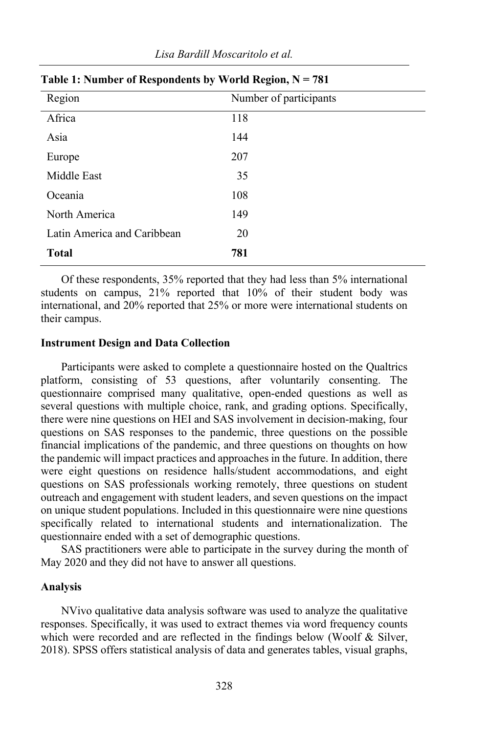| Region                      | Number of participants |
|-----------------------------|------------------------|
| Africa                      | 118                    |
| Asia                        | 144                    |
| Europe                      | 207                    |
| Middle East                 | 35                     |
| Oceania                     | 108                    |
| North America               | 149                    |
| Latin America and Caribbean | 20                     |
| <b>Total</b>                | 781                    |

## **Table 1: Number of Respondents by World Region, N = 781**

Of these respondents, 35% reported that they had less than 5% international students on campus, 21% reported that 10% of their student body was international, and 20% reported that 25% or more were international students on their campus.

#### **Instrument Design and Data Collection**

Participants were asked to complete a questionnaire hosted on the Qualtrics platform, consisting of 53 questions, after voluntarily consenting. The questionnaire comprised many qualitative, open-ended questions as well as several questions with multiple choice, rank, and grading options. Specifically, there were nine questions on HEI and SAS involvement in decision-making, four questions on SAS responses to the pandemic, three questions on the possible financial implications of the pandemic, and three questions on thoughts on how the pandemic will impact practices and approaches in the future. In addition, there were eight questions on residence halls/student accommodations, and eight questions on SAS professionals working remotely, three questions on student outreach and engagement with student leaders, and seven questions on the impact on unique student populations. Included in this questionnaire were nine questions specifically related to international students and internationalization. The questionnaire ended with a set of demographic questions.

SAS practitioners were able to participate in the survey during the month of May 2020 and they did not have to answer all questions.

#### **Analysis**

NVivo qualitative data analysis software was used to analyze the qualitative responses. Specifically, it was used to extract themes via word frequency counts which were recorded and are reflected in the findings below (Woolf & Silver, 2018). SPSS offers statistical analysis of data and generates tables, visual graphs,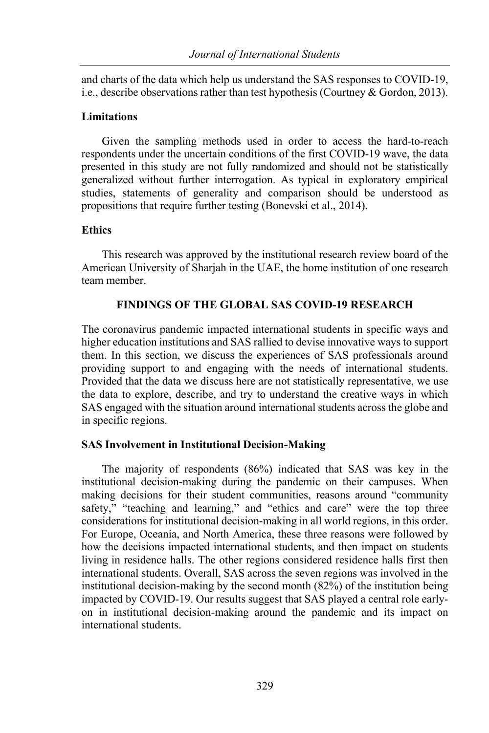and charts of the data which help us understand the SAS responses to COVID-19, i.e., describe observations rather than test hypothesis (Courtney & Gordon, 2013).

#### **Limitations**

Given the sampling methods used in order to access the hard-to-reach respondents under the uncertain conditions of the first COVID-19 wave, the data presented in this study are not fully randomized and should not be statistically generalized without further interrogation. As typical in exploratory empirical studies, statements of generality and comparison should be understood as propositions that require further testing (Bonevski et al., 2014).

## **Ethics**

This research was approved by the institutional research review board of the American University of Sharjah in the UAE, the home institution of one research team member.

## **FINDINGS OF THE GLOBAL SAS COVID-19 RESEARCH**

The coronavirus pandemic impacted international students in specific ways and higher education institutions and SAS rallied to devise innovative ways to support them. In this section, we discuss the experiences of SAS professionals around providing support to and engaging with the needs of international students. Provided that the data we discuss here are not statistically representative, we use the data to explore, describe, and try to understand the creative ways in which SAS engaged with the situation around international students across the globe and in specific regions.

## **SAS Involvement in Institutional Decision-Making**

The majority of respondents (86%) indicated that SAS was key in the institutional decision-making during the pandemic on their campuses. When making decisions for their student communities, reasons around "community safety," "teaching and learning," and "ethics and care" were the top three considerations for institutional decision-making in all world regions, in this order. For Europe, Oceania, and North America, these three reasons were followed by how the decisions impacted international students, and then impact on students living in residence halls. The other regions considered residence halls first then international students. Overall, SAS across the seven regions was involved in the institutional decision-making by the second month (82%) of the institution being impacted by COVID-19. Our results suggest that SAS played a central role earlyon in institutional decision-making around the pandemic and its impact on international students.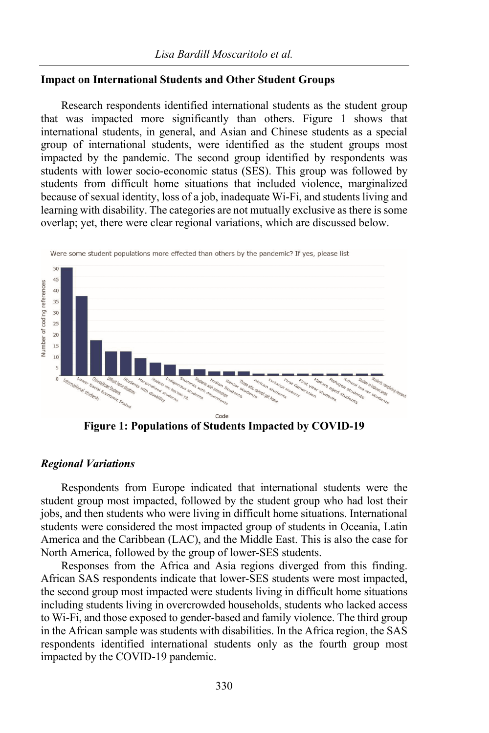## **Impact on International Students and Other Student Groups**

Research respondents identified international students as the student group that was impacted more significantly than others. Figure 1 shows that international students, in general, and Asian and Chinese students as a special group of international students, were identified as the student groups most impacted by the pandemic. The second group identified by respondents was students with lower socio-economic status (SES). This group was followed by students from difficult home situations that included violence, marginalized because of sexual identity, loss of a job, inadequate Wi-Fi, and students living and learning with disability. The categories are not mutually exclusive as there is some overlap; yet, there were clear regional variations, which are discussed below.



**Figure 1: Populations of Students Impacted by COVID-19**

## *Regional Variations*

Respondents from Europe indicated that international students were the student group most impacted, followed by the student group who had lost their jobs, and then students who were living in difficult home situations. International students were considered the most impacted group of students in Oceania, Latin America and the Caribbean (LAC), and the Middle East. This is also the case for North America, followed by the group of lower-SES students.

Responses from the Africa and Asia regions diverged from this finding. African SAS respondents indicate that lower-SES students were most impacted, the second group most impacted were students living in difficult home situations including students living in overcrowded households, students who lacked access to Wi-Fi, and those exposed to gender-based and family violence. The third group in the African sample was students with disabilities. In the Africa region, the SAS respondents identified international students only as the fourth group most impacted by the COVID-19 pandemic.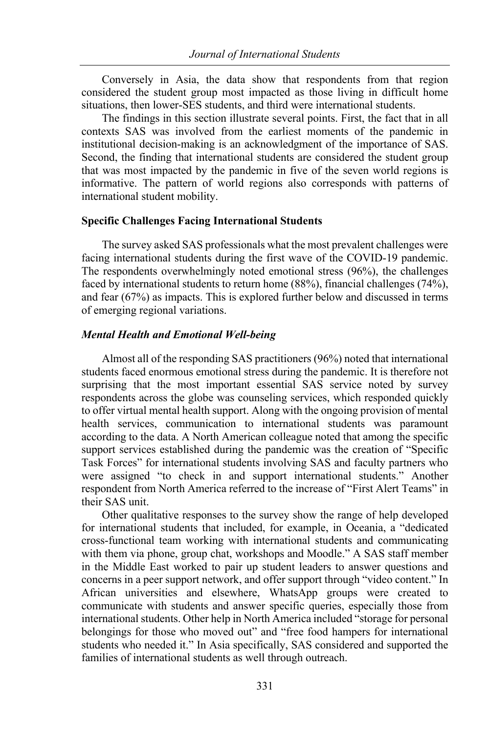Conversely in Asia, the data show that respondents from that region considered the student group most impacted as those living in difficult home situations, then lower-SES students, and third were international students.

The findings in this section illustrate several points. First, the fact that in all contexts SAS was involved from the earliest moments of the pandemic in institutional decision-making is an acknowledgment of the importance of SAS. Second, the finding that international students are considered the student group that was most impacted by the pandemic in five of the seven world regions is informative. The pattern of world regions also corresponds with patterns of international student mobility.

#### **Specific Challenges Facing International Students**

The survey asked SAS professionals what the most prevalent challenges were facing international students during the first wave of the COVID-19 pandemic. The respondents overwhelmingly noted emotional stress (96%), the challenges faced by international students to return home (88%), financial challenges (74%), and fear (67%) as impacts. This is explored further below and discussed in terms of emerging regional variations.

#### *Mental Health and Emotional Well-being*

Almost all of the responding SAS practitioners (96%) noted that international students faced enormous emotional stress during the pandemic. It is therefore not surprising that the most important essential SAS service noted by survey respondents across the globe was counseling services, which responded quickly to offer virtual mental health support. Along with the ongoing provision of mental health services, communication to international students was paramount according to the data. A North American colleague noted that among the specific support services established during the pandemic was the creation of "Specific Task Forces" for international students involving SAS and faculty partners who were assigned "to check in and support international students." Another respondent from North America referred to the increase of "First Alert Teams" in their SAS unit.

Other qualitative responses to the survey show the range of help developed for international students that included, for example, in Oceania, a "dedicated cross-functional team working with international students and communicating with them via phone, group chat, workshops and Moodle." A SAS staff member in the Middle East worked to pair up student leaders to answer questions and concerns in a peer support network, and offer support through "video content." In African universities and elsewhere, WhatsApp groups were created to communicate with students and answer specific queries, especially those from international students. Other help in North America included "storage for personal belongings for those who moved out" and "free food hampers for international students who needed it." In Asia specifically, SAS considered and supported the families of international students as well through outreach.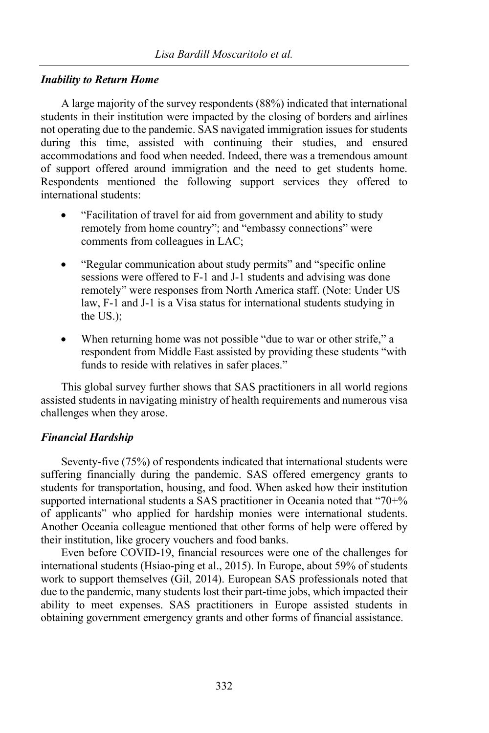## *Inability to Return Home*

A large majority of the survey respondents (88%) indicated that international students in their institution were impacted by the closing of borders and airlines not operating due to the pandemic. SAS navigated immigration issues for students during this time, assisted with continuing their studies, and ensured accommodations and food when needed. Indeed, there was a tremendous amount of support offered around immigration and the need to get students home. Respondents mentioned the following support services they offered to international students:

- "Facilitation of travel for aid from government and ability to study remotely from home country"; and "embassy connections" were comments from colleagues in LAC;
- "Regular communication about study permits" and "specific online sessions were offered to F-1 and J-1 students and advising was done remotely" were responses from North America staff. (Note: Under US law, F-1 and J-1 is a Visa status for international students studying in the US.);
- When returning home was not possible "due to war or other strife," a respondent from Middle East assisted by providing these students "with funds to reside with relatives in safer places."

This global survey further shows that SAS practitioners in all world regions assisted students in navigating ministry of health requirements and numerous visa challenges when they arose.

## *Financial Hardship*

Seventy-five (75%) of respondents indicated that international students were suffering financially during the pandemic. SAS offered emergency grants to students for transportation, housing, and food. When asked how their institution supported international students a SAS practitioner in Oceania noted that "70+% of applicants" who applied for hardship monies were international students. Another Oceania colleague mentioned that other forms of help were offered by their institution, like grocery vouchers and food banks.

Even before COVID-19, financial resources were one of the challenges for international students (Hsiao-ping et al., 2015). In Europe, about 59% of students work to support themselves (Gil, 2014). European SAS professionals noted that due to the pandemic, many students lost their part-time jobs, which impacted their ability to meet expenses. SAS practitioners in Europe assisted students in obtaining government emergency grants and other forms of financial assistance.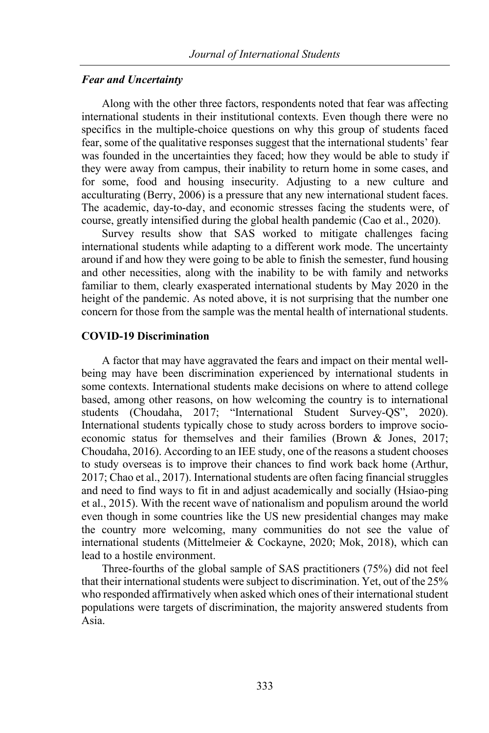#### *Fear and Uncertainty*

Along with the other three factors, respondents noted that fear was affecting international students in their institutional contexts. Even though there were no specifics in the multiple-choice questions on why this group of students faced fear, some of the qualitative responses suggest that the international students' fear was founded in the uncertainties they faced; how they would be able to study if they were away from campus, their inability to return home in some cases, and for some, food and housing insecurity. Adjusting to a new culture and acculturating (Berry, 2006) is a pressure that any new international student faces. The academic, day-to-day, and economic stresses facing the students were, of course, greatly intensified during the global health pandemic (Cao et al., 2020).

Survey results show that SAS worked to mitigate challenges facing international students while adapting to a different work mode. The uncertainty around if and how they were going to be able to finish the semester, fund housing and other necessities, along with the inability to be with family and networks familiar to them, clearly exasperated international students by May 2020 in the height of the pandemic. As noted above, it is not surprising that the number one concern for those from the sample was the mental health of international students.

#### **COVID-19 Discrimination**

A factor that may have aggravated the fears and impact on their mental wellbeing may have been discrimination experienced by international students in some contexts. International students make decisions on where to attend college based, among other reasons, on how welcoming the country is to international students (Choudaha, 2017; "International Student Survey-QS", 2020). International students typically chose to study across borders to improve socioeconomic status for themselves and their families (Brown & Jones, 2017; Choudaha, 2016). According to an IEE study, one of the reasons a student chooses to study overseas is to improve their chances to find work back home (Arthur, 2017; Chao et al., 2017). International students are often facing financial struggles and need to find ways to fit in and adjust academically and socially (Hsiao-ping et al., 2015). With the recent wave of nationalism and populism around the world even though in some countries like the US new presidential changes may make the country more welcoming, many communities do not see the value of international students (Mittelmeier & Cockayne, 2020; Mok, 2018), which can lead to a hostile environment.

Three-fourths of the global sample of SAS practitioners (75%) did not feel that their international students were subject to discrimination. Yet, out of the 25% who responded affirmatively when asked which ones of their international student populations were targets of discrimination, the majority answered students from Asia.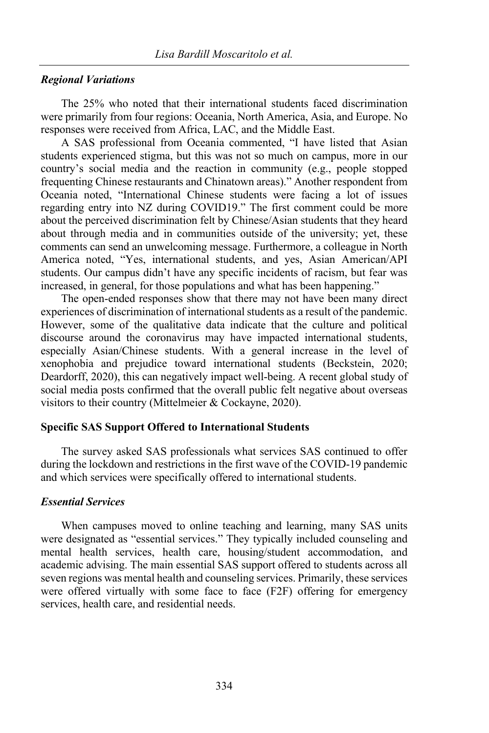#### *Regional Variations*

The 25% who noted that their international students faced discrimination were primarily from four regions: Oceania, North America, Asia, and Europe. No responses were received from Africa, LAC, and the Middle East.

A SAS professional from Oceania commented, "I have listed that Asian students experienced stigma, but this was not so much on campus, more in our country's social media and the reaction in community (e.g., people stopped frequenting Chinese restaurants and Chinatown areas)." Another respondent from Oceania noted, "International Chinese students were facing a lot of issues regarding entry into NZ during COVID19." The first comment could be more about the perceived discrimination felt by Chinese/Asian students that they heard about through media and in communities outside of the university; yet, these comments can send an unwelcoming message. Furthermore, a colleague in North America noted, "Yes, international students, and yes, Asian American/API students. Our campus didn't have any specific incidents of racism, but fear was increased, in general, for those populations and what has been happening."

The open-ended responses show that there may not have been many direct experiences of discrimination of international students as a result of the pandemic. However, some of the qualitative data indicate that the culture and political discourse around the coronavirus may have impacted international students, especially Asian/Chinese students. With a general increase in the level of xenophobia and prejudice toward international students (Beckstein, 2020; Deardorff, 2020), this can negatively impact well-being. A recent global study of social media posts confirmed that the overall public felt negative about overseas visitors to their country (Mittelmeier & Cockayne, 2020).

#### **Specific SAS Support Offered to International Students**

The survey asked SAS professionals what services SAS continued to offer during the lockdown and restrictions in the first wave of the COVID-19 pandemic and which services were specifically offered to international students.

#### *Essential Services*

When campuses moved to online teaching and learning, many SAS units were designated as "essential services." They typically included counseling and mental health services, health care, housing/student accommodation, and academic advising. The main essential SAS support offered to students across all seven regions was mental health and counseling services. Primarily, these services were offered virtually with some face to face (F2F) offering for emergency services, health care, and residential needs.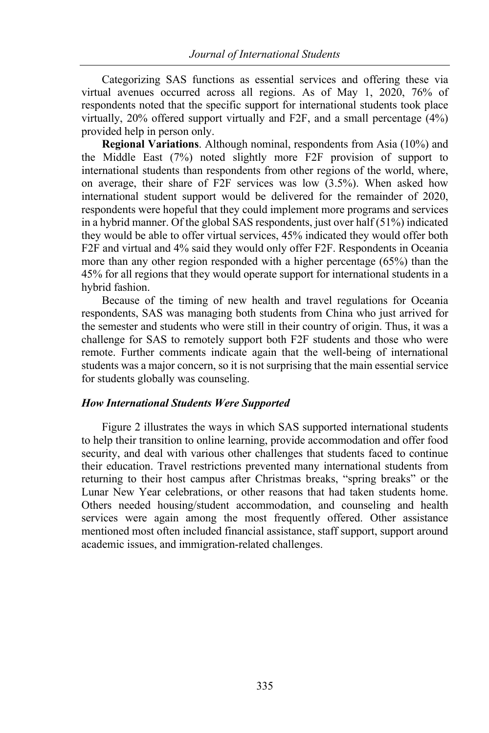Categorizing SAS functions as essential services and offering these via virtual avenues occurred across all regions. As of May 1, 2020, 76% of respondents noted that the specific support for international students took place virtually, 20% offered support virtually and F2F, and a small percentage (4%) provided help in person only.

**Regional Variations**. Although nominal, respondents from Asia (10%) and the Middle East (7%) noted slightly more F2F provision of support to international students than respondents from other regions of the world, where, on average, their share of F2F services was low (3.5%). When asked how international student support would be delivered for the remainder of 2020, respondents were hopeful that they could implement more programs and services in a hybrid manner. Of the global SAS respondents, just over half (51%) indicated they would be able to offer virtual services, 45% indicated they would offer both F2F and virtual and 4% said they would only offer F2F. Respondents in Oceania more than any other region responded with a higher percentage (65%) than the 45% for all regions that they would operate support for international students in a hybrid fashion.

Because of the timing of new health and travel regulations for Oceania respondents, SAS was managing both students from China who just arrived for the semester and students who were still in their country of origin. Thus, it was a challenge for SAS to remotely support both F2F students and those who were remote. Further comments indicate again that the well-being of international students was a major concern, so it is not surprising that the main essential service for students globally was counseling.

#### *How International Students Were Supported*

Figure 2 illustrates the ways in which SAS supported international students to help their transition to online learning, provide accommodation and offer food security, and deal with various other challenges that students faced to continue their education. Travel restrictions prevented many international students from returning to their host campus after Christmas breaks, "spring breaks" or the Lunar New Year celebrations, or other reasons that had taken students home. Others needed housing/student accommodation, and counseling and health services were again among the most frequently offered. Other assistance mentioned most often included financial assistance, staff support, support around academic issues, and immigration-related challenges.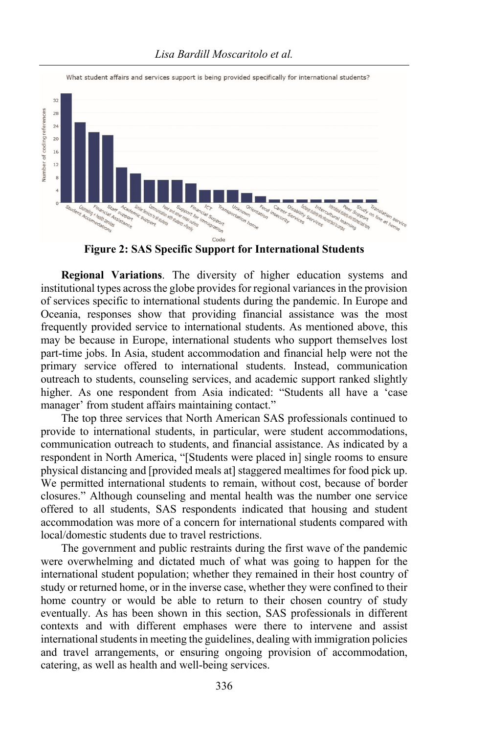

What student affairs and services support is being provided specifically for international students?

**Figure 2: SAS Specific Support for International Students**

**Regional Variations**. The diversity of higher education systems and institutional types across the globe provides for regional variances in the provision of services specific to international students during the pandemic. In Europe and Oceania, responses show that providing financial assistance was the most frequently provided service to international students. As mentioned above, this may be because in Europe, international students who support themselves lost part-time jobs. In Asia, student accommodation and financial help were not the primary service offered to international students. Instead, communication outreach to students, counseling services, and academic support ranked slightly higher. As one respondent from Asia indicated: "Students all have a 'case manager' from student affairs maintaining contact."

The top three services that North American SAS professionals continued to provide to international students, in particular, were student accommodations, communication outreach to students, and financial assistance. As indicated by a respondent in North America, "[Students were placed in] single rooms to ensure physical distancing and [provided meals at] staggered mealtimes for food pick up. We permitted international students to remain, without cost, because of border closures." Although counseling and mental health was the number one service offered to all students, SAS respondents indicated that housing and student accommodation was more of a concern for international students compared with local/domestic students due to travel restrictions.

The government and public restraints during the first wave of the pandemic were overwhelming and dictated much of what was going to happen for the international student population; whether they remained in their host country of study or returned home, or in the inverse case, whether they were confined to their home country or would be able to return to their chosen country of study eventually. As has been shown in this section, SAS professionals in different contexts and with different emphases were there to intervene and assist international students in meeting the guidelines, dealing with immigration policies and travel arrangements, or ensuring ongoing provision of accommodation, catering, as well as health and well-being services.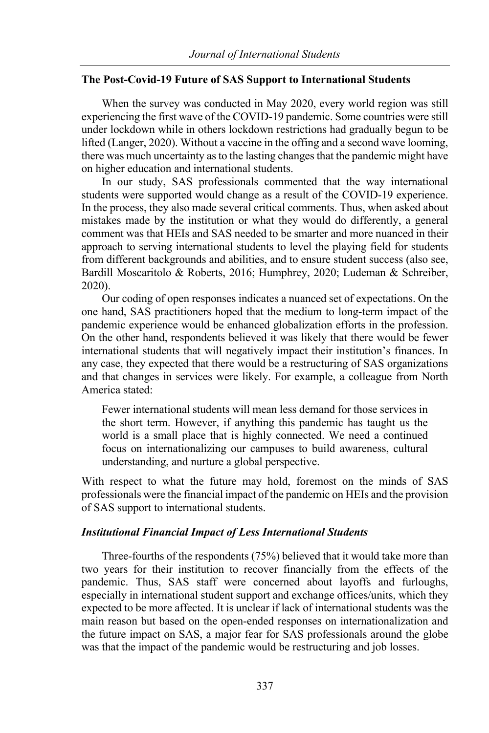## **The Post-Covid-19 Future of SAS Support to International Students**

When the survey was conducted in May 2020, every world region was still experiencing the first wave of the COVID-19 pandemic. Some countries were still under lockdown while in others lockdown restrictions had gradually begun to be lifted (Langer, 2020). Without a vaccine in the offing and a second wave looming, there was much uncertainty as to the lasting changes that the pandemic might have on higher education and international students.

In our study, SAS professionals commented that the way international students were supported would change as a result of the COVID-19 experience. In the process, they also made several critical comments. Thus, when asked about mistakes made by the institution or what they would do differently, a general comment was that HEIs and SAS needed to be smarter and more nuanced in their approach to serving international students to level the playing field for students from different backgrounds and abilities, and to ensure student success (also see, Bardill Moscaritolo & Roberts, 2016; Humphrey, 2020; Ludeman & Schreiber, 2020).

Our coding of open responses indicates a nuanced set of expectations. On the one hand, SAS practitioners hoped that the medium to long-term impact of the pandemic experience would be enhanced globalization efforts in the profession. On the other hand, respondents believed it was likely that there would be fewer international students that will negatively impact their institution's finances. In any case, they expected that there would be a restructuring of SAS organizations and that changes in services were likely. For example, a colleague from North America stated:

Fewer international students will mean less demand for those services in the short term. However, if anything this pandemic has taught us the world is a small place that is highly connected. We need a continued focus on internationalizing our campuses to build awareness, cultural understanding, and nurture a global perspective.

With respect to what the future may hold, foremost on the minds of SAS professionals were the financial impact of the pandemic on HEIs and the provision of SAS support to international students.

## *Institutional Financial Impact of Less International Students*

Three-fourths of the respondents (75%) believed that it would take more than two years for their institution to recover financially from the effects of the pandemic. Thus, SAS staff were concerned about layoffs and furloughs, especially in international student support and exchange offices/units, which they expected to be more affected. It is unclear if lack of international students was the main reason but based on the open-ended responses on internationalization and the future impact on SAS, a major fear for SAS professionals around the globe was that the impact of the pandemic would be restructuring and job losses.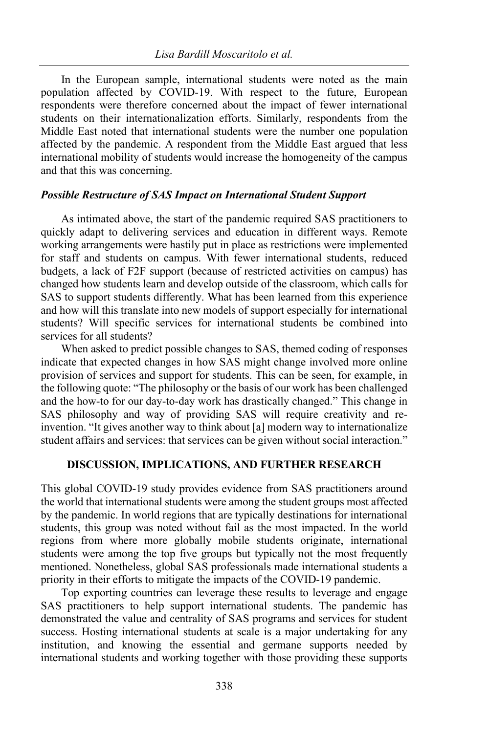In the European sample, international students were noted as the main population affected by COVID-19. With respect to the future, European respondents were therefore concerned about the impact of fewer international students on their internationalization efforts. Similarly, respondents from the Middle East noted that international students were the number one population affected by the pandemic. A respondent from the Middle East argued that less international mobility of students would increase the homogeneity of the campus and that this was concerning.

#### *Possible Restructure of SAS Impact on International Student Support*

As intimated above, the start of the pandemic required SAS practitioners to quickly adapt to delivering services and education in different ways. Remote working arrangements were hastily put in place as restrictions were implemented for staff and students on campus. With fewer international students, reduced budgets, a lack of F2F support (because of restricted activities on campus) has changed how students learn and develop outside of the classroom, which calls for SAS to support students differently. What has been learned from this experience and how will this translate into new models of support especially for international students? Will specific services for international students be combined into services for all students?

When asked to predict possible changes to SAS, themed coding of responses indicate that expected changes in how SAS might change involved more online provision of services and support for students. This can be seen, for example, in the following quote: "The philosophy or the basis of our work has been challenged and the how-to for our day-to-day work has drastically changed." This change in SAS philosophy and way of providing SAS will require creativity and reinvention. "It gives another way to think about [a] modern way to internationalize student affairs and services: that services can be given without social interaction."

## **DISCUSSION, IMPLICATIONS, AND FURTHER RESEARCH**

This global COVID-19 study provides evidence from SAS practitioners around the world that international students were among the student groups most affected by the pandemic. In world regions that are typically destinations for international students, this group was noted without fail as the most impacted. In the world regions from where more globally mobile students originate, international students were among the top five groups but typically not the most frequently mentioned. Nonetheless, global SAS professionals made international students a priority in their efforts to mitigate the impacts of the COVID-19 pandemic.

Top exporting countries can leverage these results to leverage and engage SAS practitioners to help support international students. The pandemic has demonstrated the value and centrality of SAS programs and services for student success. Hosting international students at scale is a major undertaking for any institution, and knowing the essential and germane supports needed by international students and working together with those providing these supports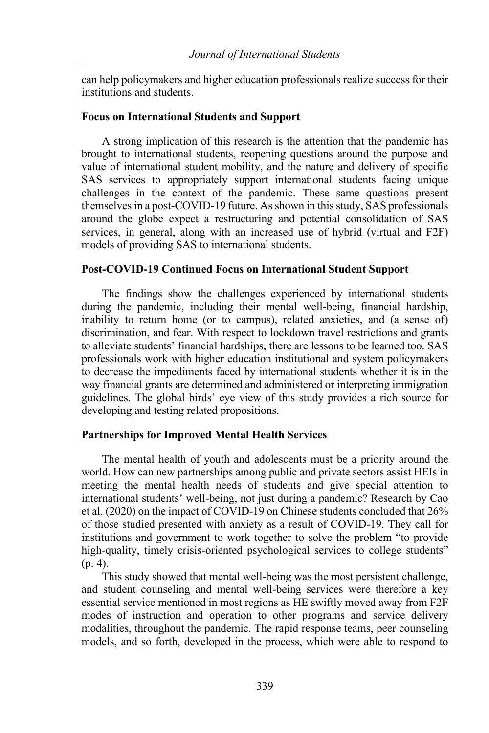can help policymakers and higher education professionals realize success for their institutions and students.

## **Focus on International Students and Support**

A strong implication of this research is the attention that the pandemic has brought to international students, reopening questions around the purpose and value of international student mobility, and the nature and delivery of specific SAS services to appropriately support international students facing unique challenges in the context of the pandemic. These same questions present themselves in a post-COVID-19 future. As shown in this study, SAS professionals around the globe expect a restructuring and potential consolidation of SAS services, in general, along with an increased use of hybrid (virtual and F2F) models of providing SAS to international students.

## **Post-COVID-19 Continued Focus on International Student Support**

The findings show the challenges experienced by international students during the pandemic, including their mental well-being, financial hardship, inability to return home (or to campus), related anxieties, and (a sense of) discrimination, and fear. With respect to lockdown travel restrictions and grants to alleviate students' financial hardships, there are lessons to be learned too. SAS professionals work with higher education institutional and system policymakers to decrease the impediments faced by international students whether it is in the way financial grants are determined and administered or interpreting immigration guidelines. The global birds' eye view of this study provides a rich source for developing and testing related propositions.

## **Partnerships for Improved Mental Health Services**

The mental health of youth and adolescents must be a priority around the world. How can new partnerships among public and private sectors assist HEIs in meeting the mental health needs of students and give special attention to international students' well-being, not just during a pandemic? Research by Cao et al. (2020) on the impact of COVID-19 on Chinese students concluded that 26% of those studied presented with anxiety as a result of COVID-19. They call for institutions and government to work together to solve the problem "to provide high-quality, timely crisis-oriented psychological services to college students" (p. 4).

This study showed that mental well-being was the most persistent challenge, and student counseling and mental well-being services were therefore a key essential service mentioned in most regions as HE swiftly moved away from F2F modes of instruction and operation to other programs and service delivery modalities, throughout the pandemic. The rapid response teams, peer counseling models, and so forth, developed in the process, which were able to respond to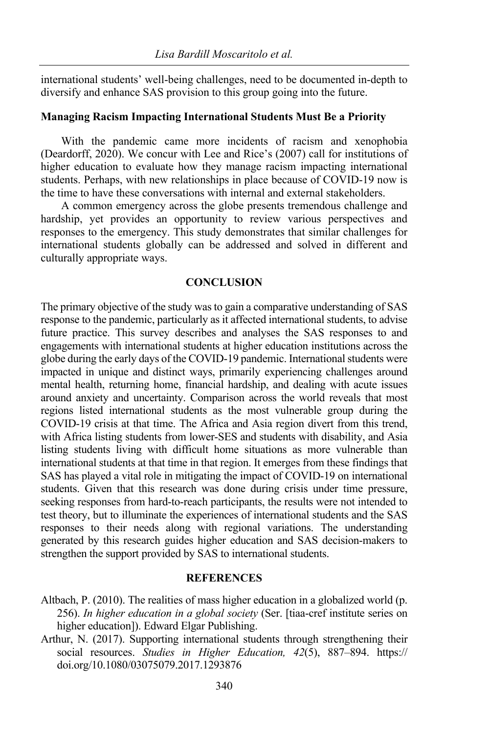international students' well-being challenges, need to be documented in-depth to diversify and enhance SAS provision to this group going into the future.

#### **Managing Racism Impacting International Students Must Be a Priority**

With the pandemic came more incidents of racism and xenophobia (Deardorff, 2020). We concur with Lee and Rice's (2007) call for institutions of higher education to evaluate how they manage racism impacting international students. Perhaps, with new relationships in place because of COVID-19 now is the time to have these conversations with internal and external stakeholders.

A common emergency across the globe presents tremendous challenge and hardship, yet provides an opportunity to review various perspectives and responses to the emergency. This study demonstrates that similar challenges for international students globally can be addressed and solved in different and culturally appropriate ways.

#### **CONCLUSION**

The primary objective of the study was to gain a comparative understanding of SAS response to the pandemic, particularly as it affected international students, to advise future practice. This survey describes and analyses the SAS responses to and engagements with international students at higher education institutions across the globe during the early days of the COVID-19 pandemic. International students were impacted in unique and distinct ways, primarily experiencing challenges around mental health, returning home, financial hardship, and dealing with acute issues around anxiety and uncertainty. Comparison across the world reveals that most regions listed international students as the most vulnerable group during the COVID-19 crisis at that time. The Africa and Asia region divert from this trend, with Africa listing students from lower-SES and students with disability, and Asia listing students living with difficult home situations as more vulnerable than international students at that time in that region. It emerges from these findings that SAS has played a vital role in mitigating the impact of COVID-19 on international students. Given that this research was done during crisis under time pressure, seeking responses from hard-to-reach participants, the results were not intended to test theory, but to illuminate the experiences of international students and the SAS responses to their needs along with regional variations. The understanding generated by this research guides higher education and SAS decision-makers to strengthen the support provided by SAS to international students.

#### **REFERENCES**

- Altbach, P. (2010). The realities of mass higher education in a globalized world (p. 256). *In higher education in a global society* (Ser. [tiaa-cref institute series on higher education]). Edward Elgar Publishing.
- Arthur, N. (2017). Supporting international students through strengthening their social resources. *Studies in Higher Education, 42*(5), 887–894. https:// doi.org/10.1080/03075079.2017.1293876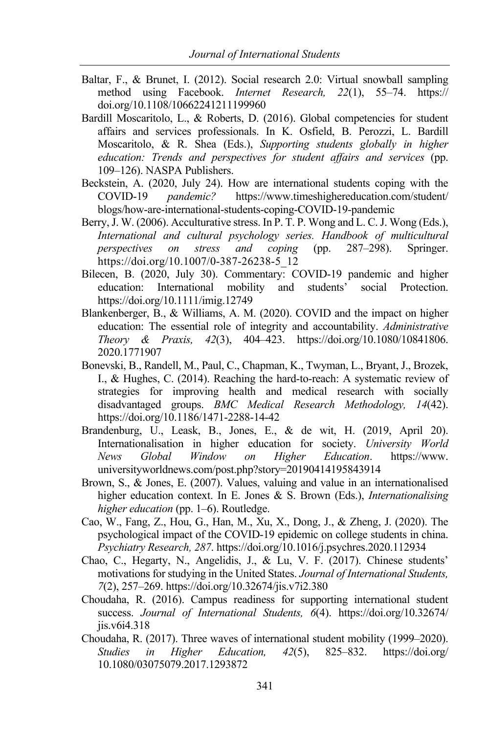- Baltar, F., & Brunet, I. (2012). Social research 2.0: Virtual snowball sampling method using Facebook. *Internet Research, 22*(1), 55–74. https:// doi.org/10.1108/10662241211199960
- Bardill Moscaritolo, L., & Roberts, D. (2016). Global competencies for student affairs and services professionals. In K. Osfield, B. Perozzi, L. Bardill Moscaritolo, & R. Shea (Eds.), *Supporting students globally in higher education: Trends and perspectives for student affairs and services* (pp. 109–126). NASPA Publishers.
- Beckstein, A. (2020, July 24). How are international students coping with the COVID-19 *pandemic?* https://www.timeshighereducation.com/student/ blogs/how-are-international-students-coping-COVID-19-pandemic
- Berry, J. W. (2006). Acculturative stress. In P. T. P. Wong and L. C. J. Wong (Eds.), *International and cultural psychology series. Handbook of multicultural perspectives on stress and coping* (pp. 287–298). Springer. https://doi.org/10.1007/0-387-26238-5\_12
- Bilecen, B. (2020, July 30). Commentary: COVID‐19 pandemic and higher education: International mobility and students' social Protection. https://doi.org/10.1111/imig.12749
- Blankenberger, B., & Williams, A. M. (2020). COVID and the impact on higher education: The essential role of integrity and accountability. *Administrative Theory & Praxis, 42*(3), 404–423. https://doi.org/10.1080/10841806. 2020.1771907
- Bonevski, B., Randell, M., Paul, C., Chapman, K., Twyman, L., Bryant, J., Brozek, I., & Hughes, C. (2014). Reaching the hard-to-reach: A systematic review of strategies for improving health and medical research with socially disadvantaged groups. *BMC Medical Research Methodology, 14*(42). https://doi.org/10.1186/1471-2288-14-42
- Brandenburg, U., Leask, B., Jones, E., & de wit, H. (2019, April 20). Internationalisation in higher education for society. *University World News Global Window on Higher Education*. https://www. universityworldnews.com/post.php?story=20190414195843914
- Brown, S., & Jones, E. (2007). Values, valuing and value in an internationalised higher education context. In E. Jones & S. Brown (Eds.), *Internationalising higher education* (pp. 1–6). Routledge.
- Cao, W., Fang, Z., Hou, G., Han, M., Xu, X., Dong, J., & Zheng, J. (2020). The psychological impact of the COVID-19 epidemic on college students in china. *Psychiatry Research, 287*. https://doi.org/10.1016/j.psychres.2020.112934
- Chao, C., Hegarty, N., Angelidis, J., & Lu, V. F. (2017). Chinese students' motivations for studying in the United States. *Journal of International Students, 7*(2), 257–269. https://doi.org/10.32674/jis.v7i2.380
- Choudaha, R. (2016). Campus readiness for supporting international student success. *Journal of International Students, 6*(4). https://doi.org/10.32674/ jis.v6i4.318
- Choudaha, R. (2017). Three waves of international student mobility (1999–2020). *Studies in Higher Education, 42*(5), 825–832. https://doi.org/ 10.1080/03075079.2017.1293872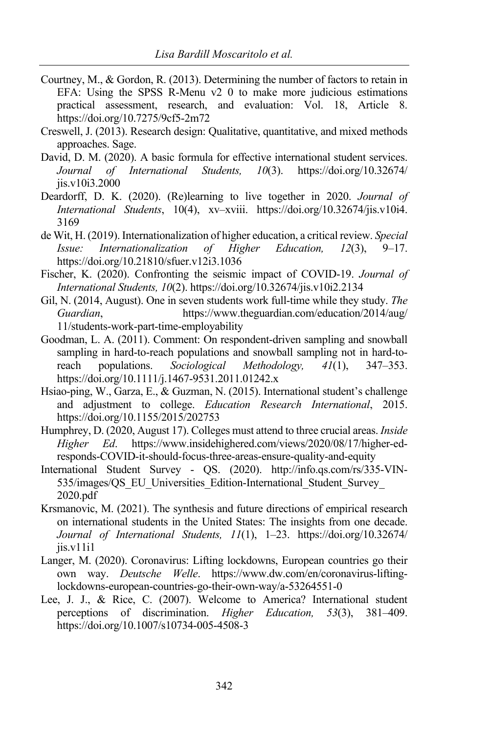- Courtney, M., & Gordon, R. (2013). Determining the number of factors to retain in EFA: Using the SPSS R-Menu v2 0 to make more judicious estimations practical assessment, research, and evaluation: Vol. 18, Article 8. https://doi.org/10.7275/9cf5-2m72
- Creswell, J. (2013). Research design: Qualitative, quantitative, and mixed methods approaches. Sage.
- David, D. M. (2020). A basic formula for effective international student services. *Journal of International Students, 10*(3). https://doi.org/10.32674/ jis.v10i3.2000
- Deardorff, D. K. (2020). (Re)learning to live together in 2020. *Journal of International Students*, 10(4), xv–xviii. https://doi.org/10.32674/jis.v10i4. 3169
- de Wit, H. (2019). Internationalization of higher education, a critical review. *Special Issue: Internationalization of Higher Education, 12*(3), 9–17. https://doi.org/10.21810/sfuer.v12i3.1036
- Fischer, K. (2020). Confronting the seismic impact of COVID-19. *Journal of International Students, 10*(2). https://doi.org/10.32674/jis.v10i2.2134
- Gil, N. (2014, August). One in seven students work full-time while they study. *The Guardian*, https://www.theguardian.com/education/2014/aug/ 11/students-work-part-time-employability
- Goodman, L. A. (2011). Comment: On respondent-driven sampling and snowball sampling in hard-to-reach populations and snowball sampling not in hard-toreach populations. *Sociological Methodology, 41*(1), 347–353. https://doi.org/10.1111/j.1467-9531.2011.01242.x
- Hsiao-ping, W., Garza, E., & Guzman, N. (2015). International student's challenge and adjustment to college. *Education Research International*, 2015. https://doi.org/10.1155/2015/202753
- Humphrey, D. (2020, August 17). Colleges must attend to three crucial areas. *Inside Higher Ed*. https://www.insidehighered.com/views/2020/08/17/higher-edresponds-COVID-it-should-focus-three-areas-ensure-quality-and-equity
- International Student Survey QS. (2020). http://info.qs.com/rs/335-VIN-535/images/QS\_EU\_Universities\_Edition-International\_Student\_Survey 2020.pdf
- Krsmanovic, M. (2021). The synthesis and future directions of empirical research on international students in the United States: The insights from one decade. *Journal of International Students, 11*(1), 1–23. https://doi.org/10.32674/ jis.v11i1
- Langer, M. (2020). Coronavirus: Lifting lockdowns, European countries go their own way. *Deutsche Welle*. https://www.dw.com/en/coronavirus-liftinglockdowns-european-countries-go-their-own-way/a-53264551-0
- Lee, J. J., & Rice, C. (2007). Welcome to America? International student perceptions of discrimination. *Higher Education, 53*(3), 381–409. https://doi.org/10.1007/s10734-005-4508-3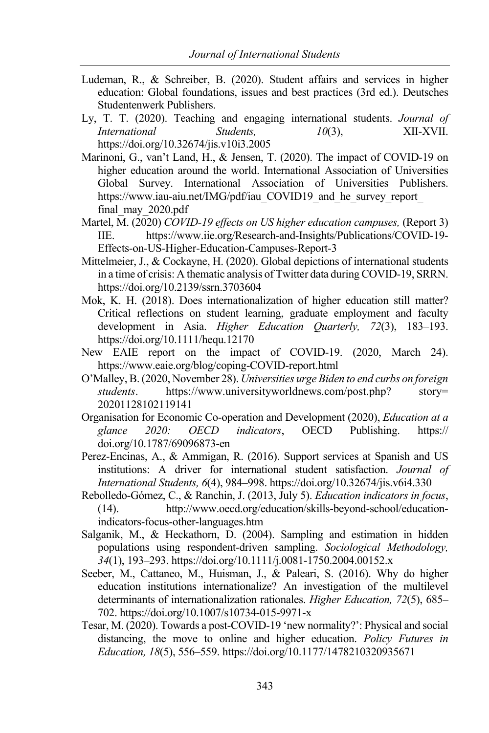- Ludeman, R., & Schreiber, B. (2020). Student affairs and services in higher education: Global foundations, issues and best practices (3rd ed.). Deutsches Studentenwerk Publishers.
- Ly, T. T. (2020). Teaching and engaging international students. *Journal of International Students, 10*(3), XII-XVII. https://doi.org/10.32674/jis.v10i3.2005
- Marinoni, G., van't Land, H., & Jensen, T. (2020). The impact of COVID-19 on higher education around the world. International Association of Universities Global Survey. International Association of Universities Publishers. https://www.iau-aiu.net/IMG/pdf/iau COVID19 and he survey report final\_may\_2020.pdf
- Martel, M. (2020) *COVID-19 effects on US higher education campuses,* (Report 3) IIE. https://www.iie.org/Research-and-Insights/Publications/COVID-19- Effects-on-US-Higher-Education-Campuses-Report-3
- Mittelmeier, J., & Cockayne, H. (2020). Global depictions of international students in a time of crisis: A thematic analysis of Twitter data during COVID-19, SRRN. https://doi.org/10.2139/ssrn.3703604
- Mok, K. H. (2018). Does internationalization of higher education still matter? Critical reflections on student learning, graduate employment and faculty development in Asia. *Higher Education Quarterly, 72*(3), 183–193. https://doi.org/10.1111/hequ.12170
- New EAIE report on the impact of COVID-19. (2020, March 24). https://www.eaie.org/blog/coping-COVID-report.html
- O'Malley, B. (2020, November 28). *Universities urge Biden to end curbs on foreign students*. https://www.universityworldnews.com/post.php? story= 20201128102119141
- Organisation for Economic Co-operation and Development (2020), *Education at a glance 2020: OECD indicators*, OECD Publishing. https:// doi.org/10.1787/69096873-en
- Perez-Encinas, A., & Ammigan, R. (2016). Support services at Spanish and US institutions: A driver for international student satisfaction. *Journal of International Students, 6*(4), 984–998. https://doi.org/10.32674/jis.v6i4.330
- Rebolledo-Gómez, C., & Ranchin, J. (2013, July 5). *Education indicators in focus*, (14). http://www.oecd.org/education/skills-beyond-school/educationindicators-focus-other-languages.htm
- Salganik, M., & Heckathorn, D. (2004). Sampling and estimation in hidden populations using respondent-driven sampling. *Sociological Methodology, 34*(1), 193–293. https://doi.org/10.1111/j.0081-1750.2004.00152.x
- Seeber, M., Cattaneo, M., Huisman, J., & Paleari, S. (2016). Why do higher education institutions internationalize? An investigation of the multilevel determinants of internationalization rationales. *Higher Education, 72*(5), 685– 702. https://doi.org/10.1007/s10734-015-9971-x
- Tesar, M. (2020). Towards a post-COVID-19 'new normality?': Physical and social distancing, the move to online and higher education. *Policy Futures in Education, 18*(5), 556–559. https://doi.org/10.1177/1478210320935671